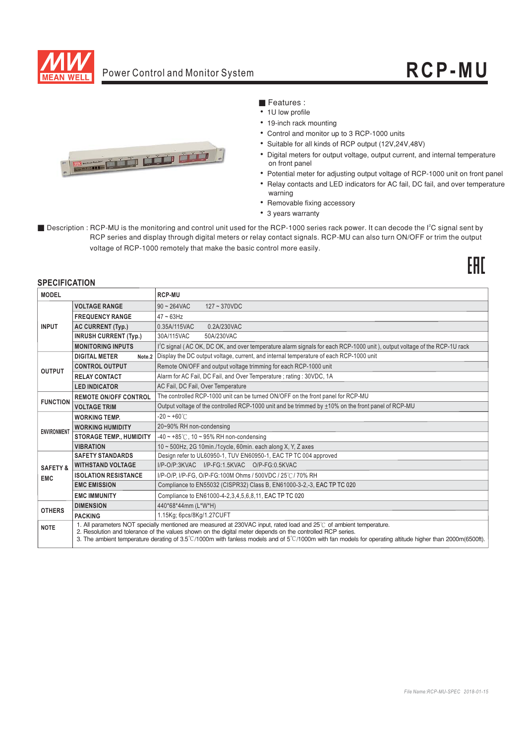

# Power Control and Monitor System **RCP - MU**

FRT



# ■ Features :

- 1U low profile
- 19-inch rack mounting
- Control and monitor up to 3 RCP-1000 units · Suitable for all kinds of RCP output (12V,24V,48V)
- Digital meters for output voltage, output current, and internal temperature on front panel
- Potential meter for adjusting output voltage of RCP-1000 unit on front panel
- Relay contacts and LED indicators for AC fail, DC fail, and over temperature warning
- Removable fixing accessory
- 3 years warranty
- Description : RCP-MU is the monitoring and control unit used for the RCP-1000 series rack power. It can decode the l<sup>2</sup>C signal sent by RCP series and display through digital meters or relay contact signals. RCP-MU can also turn ON/OFF or trim the output voltage of RCP-1000 remotely that make the basic control more easily.

# **SPECIFICATION**

| <b>MODEL</b>        |                                                                                                                                                                                                                                                                                                                                                                                                                    | <b>RCP-MU</b>                                                                                                                        |  |  |
|---------------------|--------------------------------------------------------------------------------------------------------------------------------------------------------------------------------------------------------------------------------------------------------------------------------------------------------------------------------------------------------------------------------------------------------------------|--------------------------------------------------------------------------------------------------------------------------------------|--|--|
|                     | <b>VOLTAGE RANGE</b>                                                                                                                                                                                                                                                                                                                                                                                               | $90 \sim 264$ VAC<br>$127 - 370$ VDC                                                                                                 |  |  |
|                     | <b>FREQUENCY RANGE</b>                                                                                                                                                                                                                                                                                                                                                                                             | $47 \sim 63$ Hz                                                                                                                      |  |  |
| <b>INPUT</b>        | <b>AC CURRENT (Typ.)</b>                                                                                                                                                                                                                                                                                                                                                                                           | 0.35A/115VAC<br>0.2A/230VAC                                                                                                          |  |  |
|                     | <b>INRUSH CURRENT (Typ.)</b>                                                                                                                                                                                                                                                                                                                                                                                       | 50A/230VAC<br>30A/115VAC                                                                                                             |  |  |
|                     | <b>MONITORING INPUTS</b>                                                                                                                                                                                                                                                                                                                                                                                           | I <sup>2</sup> C signal (AC OK, DC OK, and over temperature alarm signals for each RCP-1000 unit), output voltage of the RCP-1U rack |  |  |
|                     | <b>DIGITAL METER</b><br>Note.2                                                                                                                                                                                                                                                                                                                                                                                     | Display the DC output voltage, current, and internal temperature of each RCP-1000 unit                                               |  |  |
| <b>OUTPUT</b>       | <b>CONTROL OUTPUT</b>                                                                                                                                                                                                                                                                                                                                                                                              | Remote ON/OFF and output voltage trimming for each RCP-1000 unit                                                                     |  |  |
|                     | <b>RELAY CONTACT</b>                                                                                                                                                                                                                                                                                                                                                                                               | Alarm for AC Fail, DC Fail, and Over Temperature ; rating : 30VDC, 1A                                                                |  |  |
|                     | <b>LED INDICATOR</b>                                                                                                                                                                                                                                                                                                                                                                                               | AC Fail, DC Fail, Over Temperature                                                                                                   |  |  |
| <b>FUNCTION</b>     | <b>REMOTE ON/OFF CONTROL</b>                                                                                                                                                                                                                                                                                                                                                                                       | The controlled RCP-1000 unit can be turned ON/OFF on the front panel for RCP-MU                                                      |  |  |
|                     | <b>VOLTAGE TRIM</b>                                                                                                                                                                                                                                                                                                                                                                                                | Output voltage of the controlled RCP-1000 unit and be trimmed by ±10% on the front panel of RCP-MU                                   |  |  |
|                     | <b>WORKING TEMP.</b>                                                                                                                                                                                                                                                                                                                                                                                               | $-20 - +60^{\circ}$ C                                                                                                                |  |  |
| <b>ENVIRONMENT</b>  | <b>WORKING HUMIDITY</b>                                                                                                                                                                                                                                                                                                                                                                                            | 20~90% RH non-condensing                                                                                                             |  |  |
|                     | <b>STORAGE TEMP., HUMIDITY</b>                                                                                                                                                                                                                                                                                                                                                                                     | $-40 \sim +85^{\circ}$ C. 10 ~ 95% RH non-condensing                                                                                 |  |  |
|                     | <b>VIBRATION</b>                                                                                                                                                                                                                                                                                                                                                                                                   | 10 ~ 500Hz, 2G 10min./1cycle, 60min. each along X, Y, Z axes                                                                         |  |  |
|                     | <b>SAFETY STANDARDS</b>                                                                                                                                                                                                                                                                                                                                                                                            | Design refer to UL60950-1, TUV EN60950-1, EAC TP TC 004 approved                                                                     |  |  |
| <b>SAFETY &amp;</b> | <b>WITHSTAND VOLTAGE</b>                                                                                                                                                                                                                                                                                                                                                                                           | I/P-O/P:3KVAC I/P-FG:1.5KVAC O/P-FG:0.5KVAC                                                                                          |  |  |
| <b>EMC</b>          | <b>ISOLATION RESISTANCE</b>                                                                                                                                                                                                                                                                                                                                                                                        | I/P-O/P, I/P-FG, O/P-FG:100M Ohms / 500VDC / 25°C / 70% RH                                                                           |  |  |
|                     | <b>EMC EMISSION</b>                                                                                                                                                                                                                                                                                                                                                                                                | Compliance to EN55032 (CISPR32) Class B, EN61000-3-2,-3, EAC TP TC 020                                                               |  |  |
|                     | <b>EMC IMMUNITY</b>                                                                                                                                                                                                                                                                                                                                                                                                | Compliance to EN61000-4-2, 3, 4, 5, 6, 8, 11, EAC TP TC 020                                                                          |  |  |
| <b>OTHERS</b>       | <b>DIMENSION</b>                                                                                                                                                                                                                                                                                                                                                                                                   | 440*68*44mm (L*W*H)                                                                                                                  |  |  |
|                     | <b>PACKING</b>                                                                                                                                                                                                                                                                                                                                                                                                     | 1.15Kg; 6pcs/8Kg/1.27CUFT                                                                                                            |  |  |
| <b>NOTE</b>         | 1. All parameters NOT specially mentioned are measured at 230VAC input, rated load and 25°C of ambient temperature.<br>2. Resolution and tolerance of the values shown on the digital meter depends on the controlled RCP series.<br>3. The ambient temperature derating of $3.5^{\circ}$ C/1000m with fanless models and of $5^{\circ}$ C/1000m with fan models for operating altitude higher than 2000m(6500ft). |                                                                                                                                      |  |  |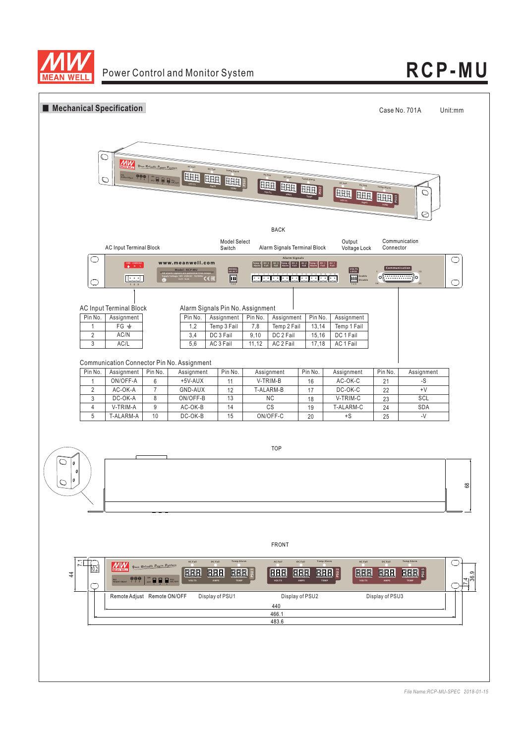